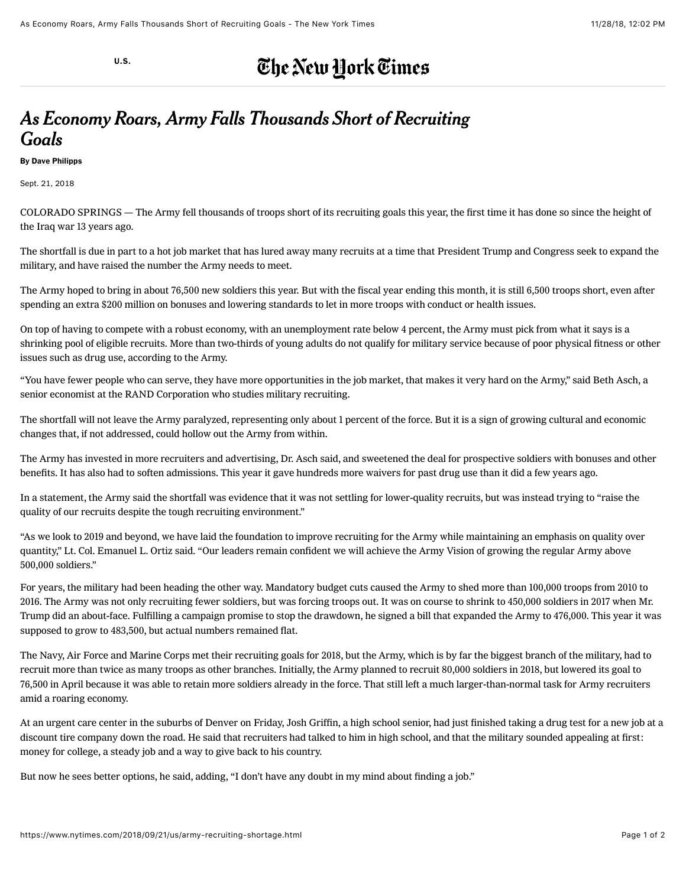[U.S.](https://www.nytimes.com/section/us)

## The New York Times

## *As Economy Roars, Army Falls Thousands Short of Recruiting Goals*

By [Dave Philipps](https://www.nytimes.com/by/dave-philipps)

Sept. 21, 2018

COLORADO SPRINGS — The Army fell thousands of troops short of its recruiting goals this year, the first time it has done so since the height of the Iraq war 13 years ago.

The shortfall is due in part to a hot job market that has lured away many recruits at a time that President Trump and Congress seek to expand the military, and have raised the number the Army needs to meet.

The Army hoped to bring in about 76,500 new soldiers this year. But with the fiscal year ending this month, it is still 6,500 troops short, even after spending an extra \$200 million on bonuses and lowering standards to let in more troops with conduct or health issues.

On top of having to compete with a robust economy, with an unemployment rate below 4 percent, the Army must pick from what it says is a shrinking pool of eligible recruits. More than two-thirds of young adults do not qualify for military service because of poor physical fitness or other issues such as drug use, according to the Army.

"You have fewer people who can serve, they have more opportunities in the job market, that makes it very hard on the Army," said Beth Asch, a senior economist at the RAND Corporation who studies military recruiting.

The shortfall will not leave the Army paralyzed, representing only about 1 percent of the force. But it is a sign of growing cultural and economic changes that, if not addressed, could hollow out the Army from within.

The Army has invested in more recruiters and advertising, Dr. Asch said, and sweetened the deal for prospective soldiers with bonuses and other benefits. It has also had to soften admissions. This year it gave hundreds more waivers for past drug use than it did a few years ago.

In a statement, the Army said the shortfall was evidence that it was not settling for lower-quality recruits, but was instead trying to "raise the quality of our recruits despite the tough recruiting environment."

"As we look to 2019 and beyond, we have laid the foundation to improve recruiting for the Army while maintaining an emphasis on quality over quantity," Lt. Col. Emanuel L. Ortiz said. "Our leaders remain confident we will achieve the Army Vision of growing the regular Army above 500,000 soldiers."

For years, the military had been heading the other way. Mandatory budget cuts caused the Army to shed more than 100,000 troops from 2010 to 2016. The Army was not only recruiting fewer soldiers, but was [forcing troops out](https://cdn.csgazette.biz/soldiers/). It was on course to shrink to 450,000 soldiers in 2017 when Mr. Trump did an about-face. Fulfilling a campaign promise to stop the drawdown, he signed a bill that expanded the Army to 476,000. This year it was supposed to grow to 483,500, but actual numbers remained flat.

The Navy, Air Force and Marine Corps met their recruiting goals for 2018, but the Army, which is by far the biggest branch of the military, had to recruit more than twice as many troops as other branches. Initially, the Army planned to recruit 80,000 soldiers in 2018, but lowered its goal to 76,500 in April because it was able to retain more soldiers already in the force. That still left a much larger-than-normal task for Army recruiters amid a roaring economy.

At an urgent care center in the suburbs of Denver on Friday, Josh Griffin, a high school senior, had just finished taking a drug test for a new job at a discount tire company down the road. He said that recruiters had talked to him in high school, and that the military sounded appealing at first: money for college, a steady job and a way to give back to his country.

But now he sees better options, he said, adding, "I don't have any doubt in my mind about finding a job."